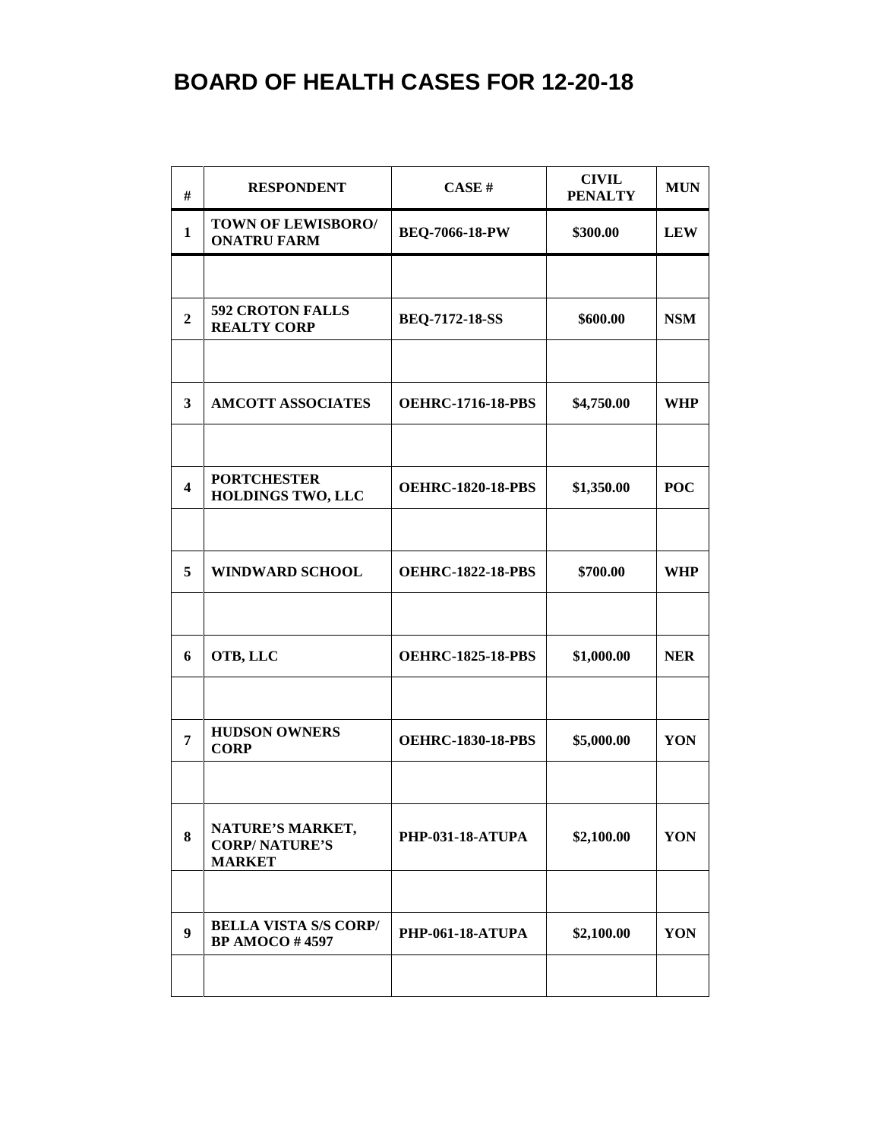| #                       | <b>RESPONDENT</b>                                         | CASE#                    | <b>CIVIL</b><br><b>PENALTY</b> | <b>MUN</b> |
|-------------------------|-----------------------------------------------------------|--------------------------|--------------------------------|------------|
| $\mathbf{1}$            | TOWN OF LEWISBORO/<br><b>ONATRU FARM</b>                  | <b>BEQ-7066-18-PW</b>    | \$300.00                       | <b>LEW</b> |
|                         |                                                           |                          |                                |            |
| $\overline{2}$          | 592 CROTON FALLS<br><b>REALTY CORP</b>                    | <b>BEQ-7172-18-SS</b>    | \$600.00                       | <b>NSM</b> |
|                         |                                                           |                          |                                |            |
| $\mathbf{3}$            | <b>AMCOTT ASSOCIATES</b>                                  | <b>OEHRC-1716-18-PBS</b> | \$4,750.00                     | <b>WHP</b> |
|                         |                                                           |                          |                                |            |
| $\overline{\mathbf{4}}$ | <b>PORTCHESTER</b><br><b>HOLDINGS TWO, LLC</b>            | <b>OEHRC-1820-18-PBS</b> | \$1,350.00                     | <b>POC</b> |
|                         |                                                           |                          |                                |            |
| 5                       | <b>WINDWARD SCHOOL</b>                                    | <b>OEHRC-1822-18-PBS</b> | \$700.00                       | <b>WHP</b> |
|                         |                                                           |                          |                                |            |
| 6                       | OTB, LLC                                                  | <b>OEHRC-1825-18-PBS</b> | \$1,000.00                     | <b>NER</b> |
|                         |                                                           |                          |                                |            |
| $\overline{7}$          | <b>HUDSON OWNERS</b><br><b>CORP</b>                       | <b>OEHRC-1830-18-PBS</b> | \$5,000.00                     | YON        |
|                         |                                                           |                          |                                |            |
| 8                       | NATURE'S MARKET,<br><b>CORP/NATURE'S</b><br><b>MARKET</b> | <b>PHP-031-18-ATUPA</b>  | \$2,100.00                     | YON        |
|                         |                                                           |                          |                                |            |
| 9                       | <b>BELLA VISTA S/S CORP/</b><br><b>BP AMOCO #4597</b>     | <b>PHP-061-18-ATUPA</b>  | \$2,100.00                     | YON        |
|                         |                                                           |                          |                                |            |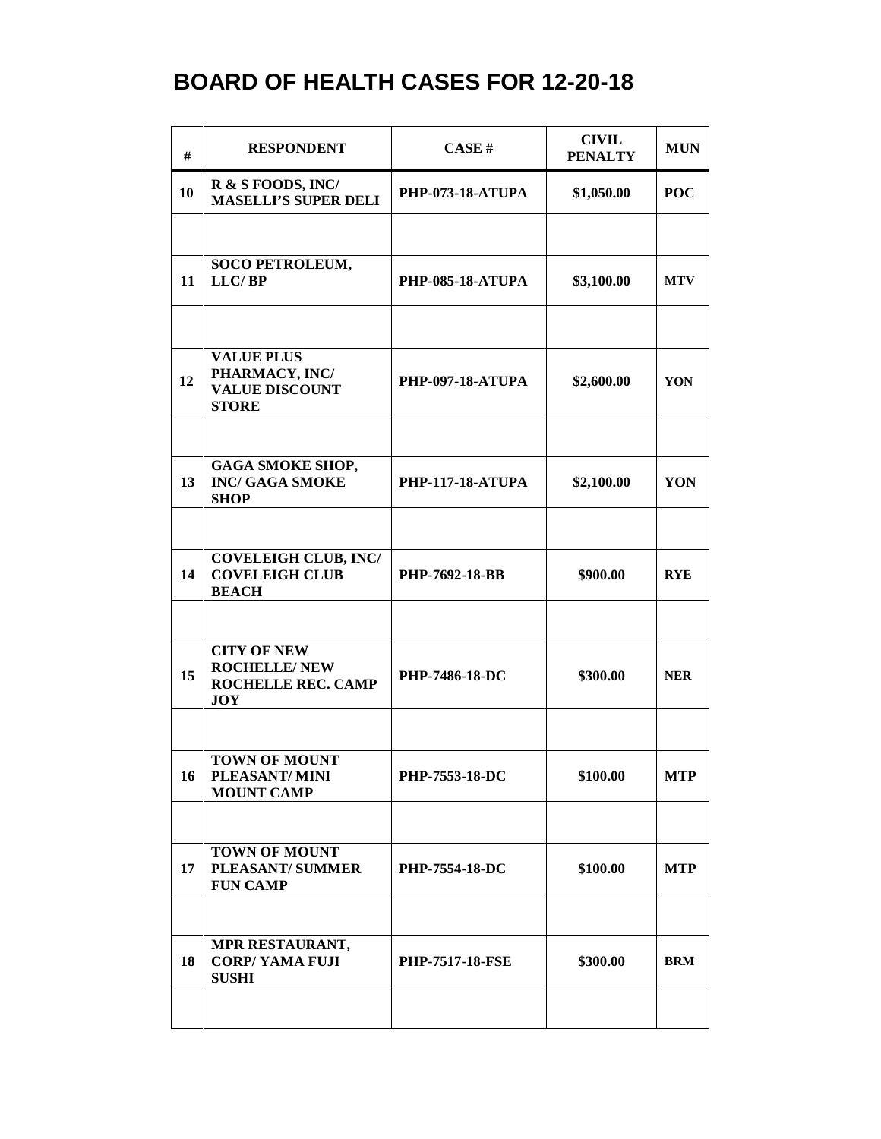| #  | <b>RESPONDENT</b>                                                                     | CASE#                   | <b>CIVIL</b><br><b>PENALTY</b> | <b>MUN</b> |
|----|---------------------------------------------------------------------------------------|-------------------------|--------------------------------|------------|
| 10 | R & S FOODS, INC/<br><b>MASELLI'S SUPER DELI</b>                                      | <b>PHP-073-18-ATUPA</b> | \$1,050.00                     | <b>POC</b> |
|    |                                                                                       |                         |                                |            |
| 11 | <b>SOCO PETROLEUM,</b><br>LLC/BP                                                      | <b>PHP-085-18-ATUPA</b> | \$3,100.00                     | <b>MTV</b> |
|    |                                                                                       |                         |                                |            |
| 12 | <b>VALUE PLUS</b><br>PHARMACY, INC/<br><b>VALUE DISCOUNT</b><br><b>STORE</b>          | <b>PHP-097-18-ATUPA</b> | \$2,600.00                     | YON        |
|    |                                                                                       |                         |                                |            |
| 13 | <b>GAGA SMOKE SHOP,</b><br><b>INC/ GAGA SMOKE</b><br><b>SHOP</b>                      | <b>PHP-117-18-ATUPA</b> | \$2,100.00                     | YON        |
|    |                                                                                       |                         |                                |            |
| 14 | <b>COVELEIGH CLUB, INC/</b><br><b>COVELEIGH CLUB</b><br><b>BEACH</b>                  | PHP-7692-18-BB          | \$900.00                       | <b>RYE</b> |
|    |                                                                                       |                         |                                |            |
| 15 | <b>CITY OF NEW</b><br><b>ROCHELLE/ NEW</b><br><b>ROCHELLE REC. CAMP</b><br><b>JOY</b> | <b>PHP-7486-18-DC</b>   | \$300.00                       | <b>NER</b> |
|    |                                                                                       |                         |                                |            |
| 16 | <b>TOWN OF MOUNT</b><br>PLEASANT/MINI<br><b>MOUNT CAMP</b>                            | PHP-7553-18-DC          | \$100.00                       | <b>MTP</b> |
|    |                                                                                       |                         |                                |            |
| 17 | <b>TOWN OF MOUNT</b><br><b>PLEASANT/SUMMER</b><br><b>FUN CAMP</b>                     | <b>PHP-7554-18-DC</b>   | \$100.00                       | <b>MTP</b> |
|    |                                                                                       |                         |                                |            |
| 18 | MPR RESTAURANT,<br><b>CORP/YAMA FUJI</b><br><b>SUSHI</b>                              | <b>PHP-7517-18-FSE</b>  | \$300.00                       | <b>BRM</b> |
|    |                                                                                       |                         |                                |            |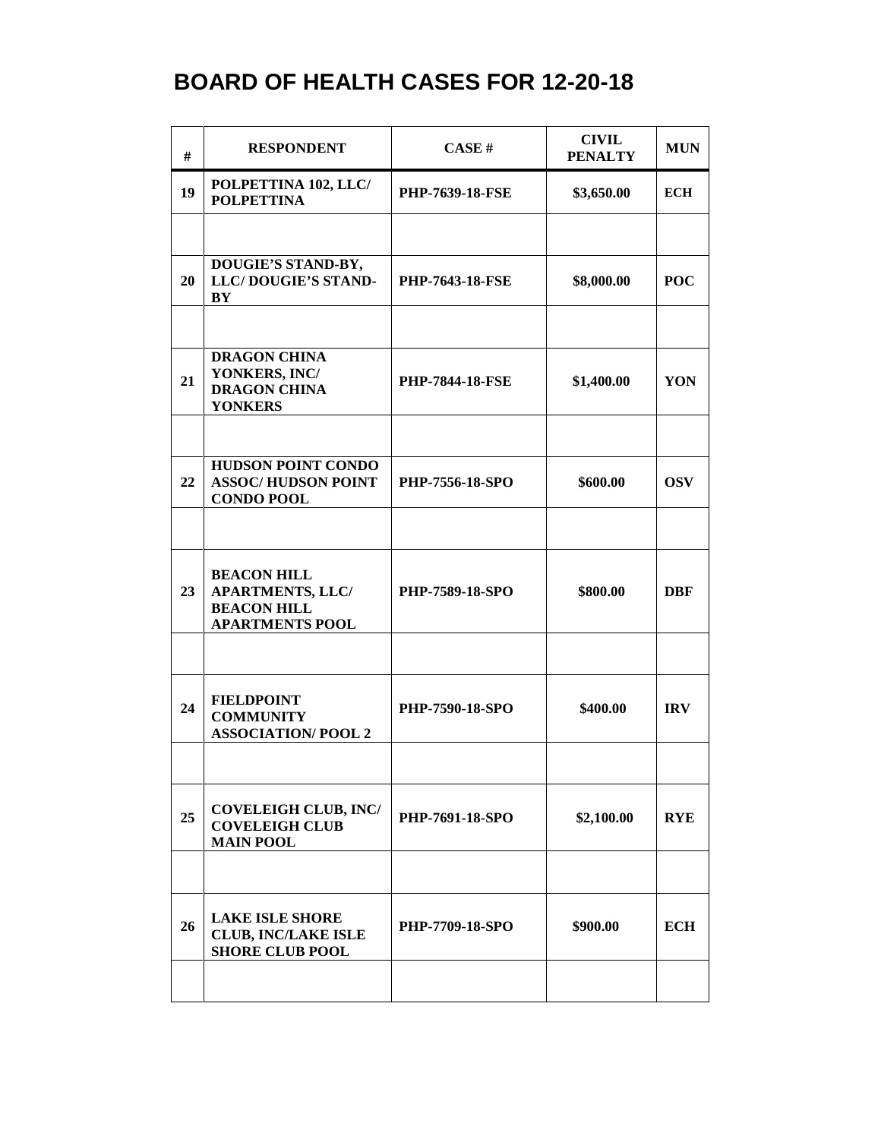| #  | <b>RESPONDENT</b>                                                                             | CASE#                  | <b>CIVIL</b><br><b>PENALTY</b> | <b>MUN</b> |
|----|-----------------------------------------------------------------------------------------------|------------------------|--------------------------------|------------|
| 19 | POLPETTINA 102, LLC/<br><b>POLPETTINA</b>                                                     | <b>PHP-7639-18-FSE</b> | \$3,650.00                     | <b>ECH</b> |
|    |                                                                                               |                        |                                |            |
| 20 | DOUGIE'S STAND-BY,<br>LLC/DOUGIE'S STAND-<br>BY                                               | <b>PHP-7643-18-FSE</b> | \$8,000.00                     | <b>POC</b> |
|    |                                                                                               |                        |                                |            |
| 21 | <b>DRAGON CHINA</b><br>YONKERS, INC/<br><b>DRAGON CHINA</b><br><b>YONKERS</b>                 | <b>PHP-7844-18-FSE</b> | \$1,400.00                     | YON        |
|    |                                                                                               |                        |                                |            |
| 22 | <b>HUDSON POINT CONDO</b><br><b>ASSOC/HUDSON POINT</b><br><b>CONDO POOL</b>                   | PHP-7556-18-SPO        | \$600.00                       | <b>OSV</b> |
|    |                                                                                               |                        |                                |            |
| 23 | <b>BEACON HILL</b><br><b>APARTMENTS, LLC/</b><br><b>BEACON HILL</b><br><b>APARTMENTS POOL</b> | <b>PHP-7589-18-SPO</b> | \$800.00                       | DBF        |
|    |                                                                                               |                        |                                |            |
| 24 | <b>FIELDPOINT</b><br><b>COMMUNITY</b><br><b>ASSOCIATION/POOL 2</b>                            | PHP-7590-18-SPO        | \$400.00                       | <b>IRV</b> |
|    |                                                                                               |                        |                                |            |
| 25 | <b>COVELEIGH CLUB, INC/</b><br><b>COVELEIGH CLUB</b><br><b>MAIN POOL</b>                      | PHP-7691-18-SPO        | \$2,100.00                     | <b>RYE</b> |
|    |                                                                                               |                        |                                |            |
| 26 | <b>LAKE ISLE SHORE</b><br><b>CLUB, INC/LAKE ISLE</b><br><b>SHORE CLUB POOL</b>                | PHP-7709-18-SPO        | \$900.00                       | <b>ECH</b> |
|    |                                                                                               |                        |                                |            |